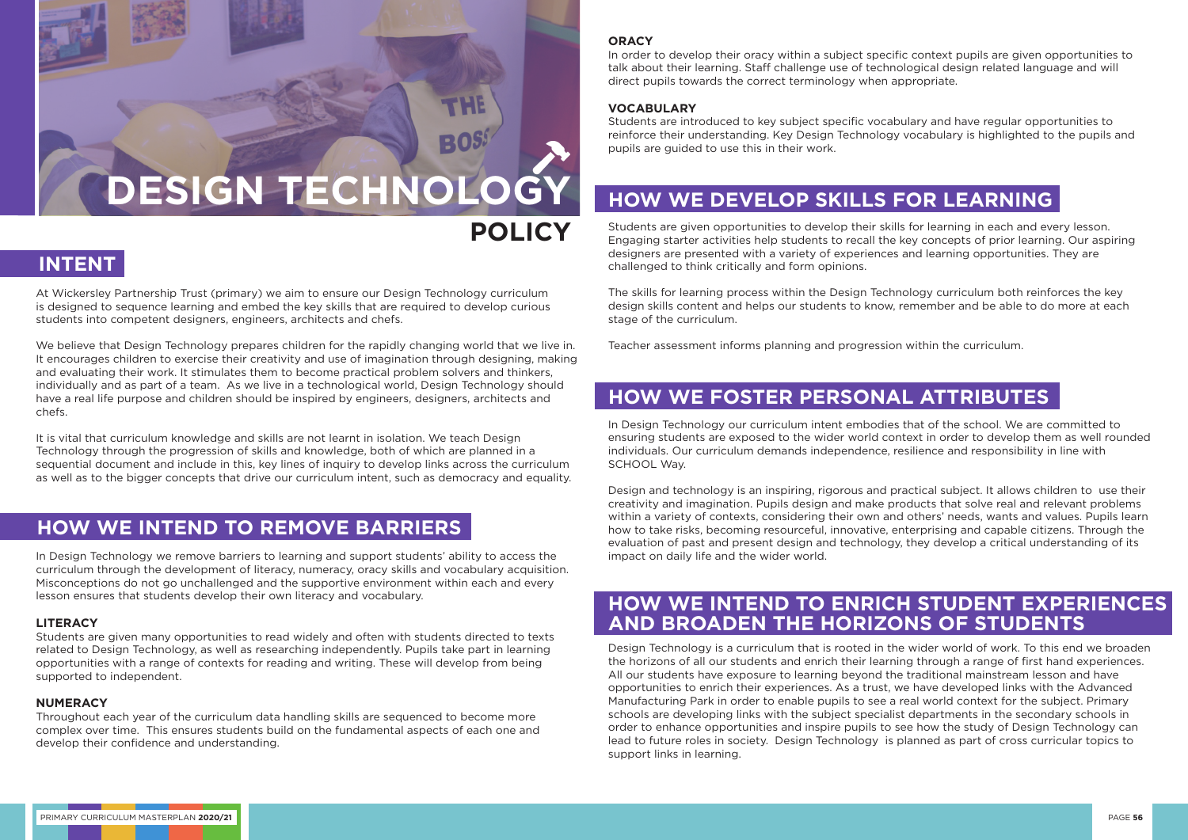At Wickersley Partnership Trust (primary) we aim to ensure our Design Technology curriculum is designed to sequence learning and embed the key skills that are required to develop curious students into competent designers, engineers, architects and chefs.

We believe that Design Technology prepares children for the rapidly changing world that we live in. It encourages children to exercise their creativity and use of imagination through designing, making and evaluating their work. It stimulates them to become practical problem solvers and thinkers, individually and as part of a team. As we live in a technological world, Design Technology should have a real life purpose and children should be inspired by engineers, designers, architects and chefs.

It is vital that curriculum knowledge and skills are not learnt in isolation. We teach Design Technology through the progression of skills and knowledge, both of which are planned in a sequential document and include in this, key lines of inquiry to develop links across the curriculum as well as to the bigger concepts that drive our curriculum intent, such as democracy and equality.

In Design Technology we remove barriers to learning and support students' ability to access the curriculum through the development of literacy, numeracy, oracy skills and vocabulary acquisition. Misconceptions do not go unchallenged and the supportive environment within each and every lesson ensures that students develop their own literacy and vocabulary.

#### **LITERACY**

Students are given many opportunities to read widely and often with students directed to texts related to Design Technology, as well as researching independently. Pupils take part in learning opportunities with a range of contexts for reading and writing. These will develop from being supported to independent.

#### **NUMERACY**

Throughout each year of the curriculum data handling skills are sequenced to become more complex over time. This ensures students build on the fundamental aspects of each one and develop their confidence and understanding.

#### **ORACY**

In order to develop their oracy within a subject specific context pupils are given opportunities to talk about their learning. Staff challenge use of technological design related language and will direct pupils towards the correct terminology when appropriate.

#### **VOCABULARY**

Students are introduced to key subject specific vocabulary and have regular opportunities to reinforce their understanding. Key Design Technology vocabulary is highlighted to the pupils and pupils are guided to use this in their work.

Students are given opportunities to develop their skills for learning in each and every lesson. Engaging starter activities help students to recall the key concepts of prior learning. Our aspiring designers are presented with a variety of experiences and learning opportunities. They are challenged to think critically and form opinions.

The skills for learning process within the Design Technology curriculum both reinforces the key design skills content and helps our students to know, remember and be able to do more at each stage of the curriculum.

Teacher assessment informs planning and progression within the curriculum.

In Design Technology our curriculum intent embodies that of the school. We are committed to ensuring students are exposed to the wider world context in order to develop them as well rounded individuals. Our curriculum demands independence, resilience and responsibility in line with SCHOOL Way.

Design and technology is an inspiring, rigorous and practical subject. It allows children to use their creativity and imagination. Pupils design and make products that solve real and relevant problems within a variety of contexts, considering their own and others' needs, wants and values. Pupils learn how to take risks, becoming resourceful, innovative, enterprising and capable citizens. Through the evaluation of past and present design and technology, they develop a critical understanding of its impact on daily life and the wider world.

Design Technology is a curriculum that is rooted in the wider world of work. To this end we broaden the horizons of all our students and enrich their learning through a range of first hand experiences. All our students have exposure to learning beyond the traditional mainstream lesson and have opportunities to enrich their experiences. As a trust, we have developed links with the Advanced Manufacturing Park in order to enable pupils to see a real world context for the subject. Primary schools are developing links with the subject specialist departments in the secondary schools in order to enhance opportunities and inspire pupils to see how the study of Design Technology can lead to future roles in society. Design Technology is planned as part of cross curricular topics to support links in learning.

# **DESIGN TECHNOLOGY**

# **POLICY**



### **HOW WE INTEND TO REMOVE BARRIERS**

# **HOW WE DEVELOP SKILLS FOR LEARNING**

## **HOW WE FOSTER PERSONAL ATTRIBUTES**

### **HOW WE INTEND TO ENRICH STUDENT EXPERIENCES AND BROADEN THE HORIZONS OF STUDENTS**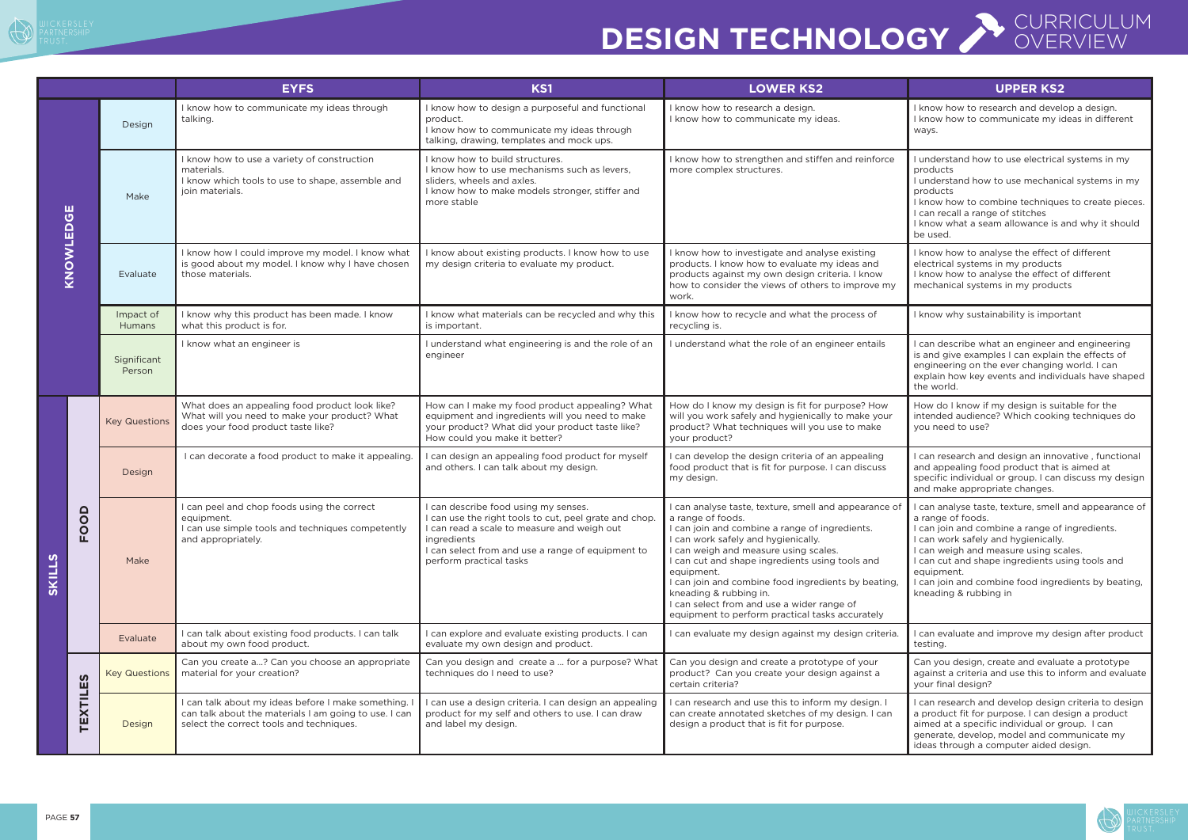

# **DESIGN TECHNOLOGY** *COVERVIEW*





|                                                |                                                                               |                       | <b>EYFS</b>                                                                                                                                             | <b>KS1</b>                                                                                                                                                                                                                                   | <b>LOWER KS2</b>                                                                                                                                                                                                                                                                                                                                                                                                                                                | <b>UPPER KS2</b>                                                                                                                                                                                                                                                                                                                                              |
|------------------------------------------------|-------------------------------------------------------------------------------|-----------------------|---------------------------------------------------------------------------------------------------------------------------------------------------------|----------------------------------------------------------------------------------------------------------------------------------------------------------------------------------------------------------------------------------------------|-----------------------------------------------------------------------------------------------------------------------------------------------------------------------------------------------------------------------------------------------------------------------------------------------------------------------------------------------------------------------------------------------------------------------------------------------------------------|---------------------------------------------------------------------------------------------------------------------------------------------------------------------------------------------------------------------------------------------------------------------------------------------------------------------------------------------------------------|
|                                                |                                                                               | Design                | I know how to communicate my ideas through<br>talking.                                                                                                  | I know how to design a purposeful and functional<br>product.<br>I know how to communicate my ideas through<br>talking, drawing, templates and mock ups.                                                                                      | I know how to research a design.<br>I know how to communicate my ideas.                                                                                                                                                                                                                                                                                                                                                                                         | I know how to research and develop a design.<br>I know how to communicate my ideas in different<br>ways.                                                                                                                                                                                                                                                      |
| ш<br>$\overline{\mathbf{O}}$<br><b>KNOWLED</b> |                                                                               | Make                  | I know how to use a variety of construction<br>materials.<br>I know which tools to use to shape, assemble and<br>join materials.                        | I know how to build structures.<br>I know how to use mechanisms such as levers,<br>sliders, wheels and axles.<br>I know how to make models stronger, stiffer and<br>more stable                                                              | I know how to strengthen and stiffen and reinforce<br>more complex structures.                                                                                                                                                                                                                                                                                                                                                                                  | I understand how to use electrical systems in my<br>products<br>I understand how to use mechanical systems in my<br>products<br>I know how to combine techniques to create pieces.<br>I can recall a range of stitches<br>I know what a seam allowance is and why it should<br>be used.                                                                       |
|                                                |                                                                               | Evaluate              | I know how I could improve my model. I know what<br>is good about my model. I know why I have chosen<br>those materials.                                | I know about existing products. I know how to use<br>my design criteria to evaluate my product.                                                                                                                                              | I know how to investigate and analyse existing<br>products. I know how to evaluate my ideas and<br>products against my own design criteria. I know<br>how to consider the views of others to improve my<br>work.                                                                                                                                                                                                                                                | I know how to analyse the effect of different<br>electrical systems in my products<br>I know how to analyse the effect of different<br>mechanical systems in my products                                                                                                                                                                                      |
|                                                |                                                                               | Impact of<br>Humans   | I know why this product has been made. I know<br>what this product is for.                                                                              | I know what materials can be recycled and why this<br>is important.                                                                                                                                                                          | I know how to recycle and what the process of<br>recycling is.                                                                                                                                                                                                                                                                                                                                                                                                  | I know why sustainability is important                                                                                                                                                                                                                                                                                                                        |
|                                                |                                                                               | Significant<br>Person | I know what an engineer is                                                                                                                              | I understand what engineering is and the role of an<br>engineer                                                                                                                                                                              | I understand what the role of an engineer entails                                                                                                                                                                                                                                                                                                                                                                                                               | I can describe what an engineer and engineering<br>is and give examples I can explain the effects of<br>engineering on the ever changing world. I can<br>explain how key events and individuals have shaped<br>the world.                                                                                                                                     |
| <b>SKILLS</b>                                  |                                                                               | <b>Key Questions</b>  | What does an appealing food product look like?<br>What will you need to make your product? What<br>does your food product taste like?                   | How can I make my food product appealing? What<br>equipment and ingredients will you need to make<br>your product? What did your product taste like?<br>How could you make it better?                                                        | How do I know my design is fit for purpose? How<br>will you work safely and hygienically to make your<br>product? What techniques will you use to make<br>your product?                                                                                                                                                                                                                                                                                         | How do I know if my design is suitable for the<br>intended audience? Which cooking techniques do<br>you need to use?                                                                                                                                                                                                                                          |
|                                                |                                                                               | Design                | I can decorate a food product to make it appealing.                                                                                                     | I can design an appealing food product for myself<br>and others. I can talk about my design.                                                                                                                                                 | I can develop the design criteria of an appealing<br>food product that is fit for purpose. I can discuss<br>my design.                                                                                                                                                                                                                                                                                                                                          | I can research and design an innovative, functional<br>and appealing food product that is aimed at<br>specific individual or group. I can discuss my design<br>and make appropriate changes.                                                                                                                                                                  |
|                                                | $\Omega$<br>$\Omega$<br>$\overline{P}$<br><b>S</b><br>ш<br>Ë<br>$\times$<br>胃 | Make                  | I can peel and chop foods using the correct<br>equipment.<br>I can use simple tools and techniques competently<br>and appropriately.                    | I can describe food using my senses.<br>I can use the right tools to cut, peel grate and chop.<br>I can read a scale to measure and weigh out<br>ingredients<br>I can select from and use a range of equipment to<br>perform practical tasks | I can analyse taste, texture, smell and appearance of<br>a range of foods.<br>I can join and combine a range of ingredients.<br>I can work safely and hygienically.<br>I can weigh and measure using scales.<br>I can cut and shape ingredients using tools and<br>equipment.<br>I can join and combine food ingredients by beating,<br>kneading & rubbing in.<br>I can select from and use a wider range of<br>equipment to perform practical tasks accurately | I can analyse taste, texture, smell and appearance of<br>a range of foods.<br>I can join and combine a range of ingredients.<br>I can work safely and hygienically.<br>I can weigh and measure using scales.<br>I can cut and shape ingredients using tools and<br>equipment.<br>I can join and combine food ingredients by beating,<br>kneading & rubbing in |
|                                                |                                                                               | Evaluate              | I can talk about existing food products. I can talk<br>about my own food product.                                                                       | I can explore and evaluate existing products. I can<br>evaluate my own design and product.                                                                                                                                                   | I can evaluate my design against my design criteria.                                                                                                                                                                                                                                                                                                                                                                                                            | I can evaluate and improve my design after product<br>testing.                                                                                                                                                                                                                                                                                                |
|                                                |                                                                               | <b>Key Questions</b>  | Can you create a? Can you choose an appropriate<br>material for your creation?                                                                          | Can you design and create a  for a purpose? What<br>techniques do I need to use?                                                                                                                                                             | Can you design and create a prototype of your<br>product? Can you create your design against a<br>certain criteria?                                                                                                                                                                                                                                                                                                                                             | Can you design, create and evaluate a prototype<br>against a criteria and use this to inform and evaluate<br>your final design?                                                                                                                                                                                                                               |
|                                                |                                                                               | Design                | I can talk about my ideas before I make something.<br>can talk about the materials I am going to use. I can<br>select the correct tools and techniques. | I can use a design criteria. I can design an appealing<br>product for my self and others to use. I can draw<br>and label my design.                                                                                                          | I can research and use this to inform my design. I<br>can create annotated sketches of my design. I can<br>design a product that is fit for purpose.                                                                                                                                                                                                                                                                                                            | I can research and develop design criteria to design<br>a product fit for purpose. I can design a product<br>aimed at a specific individual or group. I can<br>generate, develop, model and communicate my<br>ideas through a computer aided design.                                                                                                          |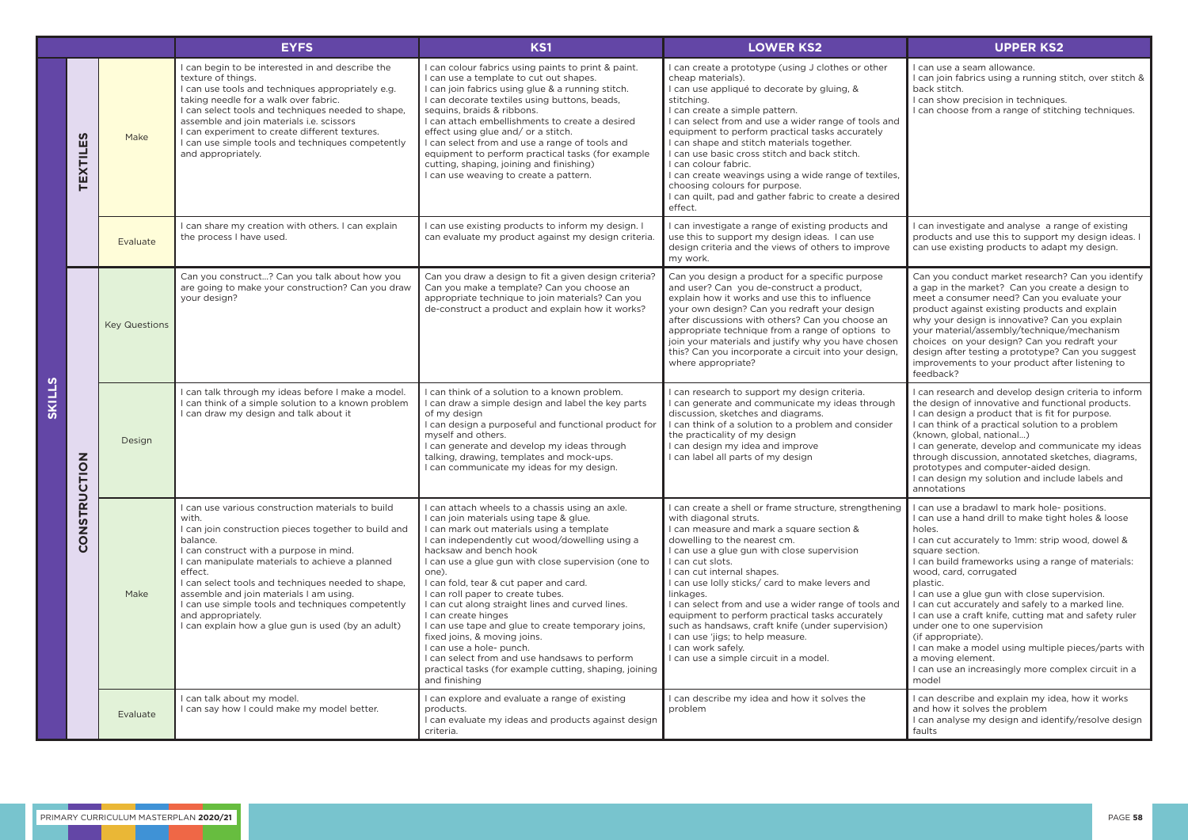|        |                                          |                      | <b>EYFS</b>                                                                                                                                                                                                                                                                                                                                                                                                                                                               | <b>KS1</b>                                                                                                                                                                                                                                                                                                                                                                                                                                                                                                                                                                                                                                                                                  | <b>LOWER KS2</b>                                                                                                                                                                                                                                                                                                                                                                                                                                                                                                                                                                                   | <b>UPPER KS2</b>                                                                                                                                                                                                                                                                                                                                                                                                                                                                                          |
|--------|------------------------------------------|----------------------|---------------------------------------------------------------------------------------------------------------------------------------------------------------------------------------------------------------------------------------------------------------------------------------------------------------------------------------------------------------------------------------------------------------------------------------------------------------------------|---------------------------------------------------------------------------------------------------------------------------------------------------------------------------------------------------------------------------------------------------------------------------------------------------------------------------------------------------------------------------------------------------------------------------------------------------------------------------------------------------------------------------------------------------------------------------------------------------------------------------------------------------------------------------------------------|----------------------------------------------------------------------------------------------------------------------------------------------------------------------------------------------------------------------------------------------------------------------------------------------------------------------------------------------------------------------------------------------------------------------------------------------------------------------------------------------------------------------------------------------------------------------------------------------------|-----------------------------------------------------------------------------------------------------------------------------------------------------------------------------------------------------------------------------------------------------------------------------------------------------------------------------------------------------------------------------------------------------------------------------------------------------------------------------------------------------------|
| SKILLS | <b>TEXTILES</b>                          | Make                 | I can begin to be interested in and describe the<br>texture of things.<br>I can use tools and techniques appropriately e.g.<br>taking needle for a walk over fabric.<br>I can select tools and techniques needed to shape,<br>assemble and join materials i.e. scissors<br>I can experiment to create different textures.<br>I can use simple tools and techniques competently<br>and appropriately.                                                                      | I can colour fabrics using paints to print & paint.<br>I can use a template to cut out shapes.<br>I can join fabrics using glue & a running stitch.<br>I can decorate textiles using buttons, beads,<br>sequins, braids & ribbons.<br>I can attach embellishments to create a desired<br>effect using glue and/ or a stitch.<br>I can select from and use a range of tools and<br>equipment to perform practical tasks (for example<br>cutting, shaping, joining and finishing)<br>I can use weaving to create a pattern.                                                                                                                                                                   | I can create a prototype (using J clothes or other<br>cheap materials).<br>I can use appliqué to decorate by gluing, &<br>stitching.<br>I can create a simple pattern.<br>I can select from and use a wider range of tools and<br>equipment to perform practical tasks accurately<br>I can shape and stitch materials together.<br>I can use basic cross stitch and back stitch.<br>I can colour fabric.<br>I can create weavings using a wide range of textiles,<br>choosing colours for purpose.<br>I can quilt, pad and gather fabric to create a desired<br>effect.                            | I can use a seam allowance.<br>I can join fabrics using a running s<br>back stitch.<br>I can show precision in techniques<br>I can choose from a range of stitc                                                                                                                                                                                                                                                                                                                                           |
|        |                                          | Evaluate             | I can share my creation with others. I can explain<br>the process I have used.                                                                                                                                                                                                                                                                                                                                                                                            | I can use existing products to inform my design. I<br>can evaluate my product against my design criteria.                                                                                                                                                                                                                                                                                                                                                                                                                                                                                                                                                                                   | I can investigate a range of existing products and<br>use this to support my design ideas. I can use<br>design criteria and the views of others to improve<br>my work.                                                                                                                                                                                                                                                                                                                                                                                                                             | I can investigate and analyse a ra<br>products and use this to support<br>can use existing products to adap                                                                                                                                                                                                                                                                                                                                                                                               |
|        | <b>NOL</b><br><b>STRUC</b><br><b>ZOU</b> | <b>Key Questions</b> | Can you construct? Can you talk about how you<br>are going to make your construction? Can you draw<br>your design?                                                                                                                                                                                                                                                                                                                                                        | Can you draw a design to fit a given design criteria?<br>Can you make a template? Can you choose an<br>appropriate technique to join materials? Can you<br>de-construct a product and explain how it works?                                                                                                                                                                                                                                                                                                                                                                                                                                                                                 | Can you design a product for a specific purpose<br>and user? Can you de-construct a product,<br>explain how it works and use this to influence<br>your own design? Can you redraft your design<br>after discussions with others? Can you choose an<br>appropriate technique from a range of options to<br>join your materials and justify why you have chosen<br>this? Can you incorporate a circuit into your design,<br>where appropriate?                                                                                                                                                       | Can you conduct market research<br>a gap in the market? Can you cre<br>meet a consumer need? Can you<br>product against existing products<br>why your design is innovative? Ca<br>your material/assembly/technique<br>choices on your design? Can you<br>design after testing a prototype?<br>improvements to your product aft<br>feedback?                                                                                                                                                               |
|        |                                          | Design               | I can talk through my ideas before I make a model.<br>I can think of a simple solution to a known problem<br>I can draw my design and talk about it                                                                                                                                                                                                                                                                                                                       | I can think of a solution to a known problem.<br>I can draw a simple design and label the key parts<br>of my design<br>I can design a purposeful and functional product for<br>myself and others.<br>I can generate and develop my ideas through<br>talking, drawing, templates and mock-ups.<br>I can communicate my ideas for my design.                                                                                                                                                                                                                                                                                                                                                  | I can research to support my design criteria.<br>I can generate and communicate my ideas through<br>discussion, sketches and diagrams.<br>I can think of a solution to a problem and consider<br>the practicality of my design<br>I can design my idea and improve<br>I can label all parts of my design                                                                                                                                                                                                                                                                                           | I can research and develop design<br>the design of innovative and funct<br>I can design a product that is fit fo<br>I can think of a practical solution t<br>(known, global, national)<br>I can generate, develop and comn<br>through discussion, annotated ske<br>prototypes and computer-aided c<br>I can design my solution and inclu<br>annotations                                                                                                                                                   |
|        |                                          | Make                 | I can use various construction materials to build<br>with.<br>I can join construction pieces together to build and<br>balance.<br>I can construct with a purpose in mind.<br>I can manipulate materials to achieve a planned<br>effect.<br>I can select tools and techniques needed to shape,<br>assemble and join materials I am using.<br>I can use simple tools and techniques competently<br>and appropriately.<br>I can explain how a glue gun is used (by an adult) | I can attach wheels to a chassis using an axle.<br>I can join materials using tape & glue.<br>I can mark out materials using a template<br>I can independently cut wood/dowelling using a<br>hacksaw and bench hook<br>I can use a glue gun with close supervision (one to<br>one).<br>I can fold, tear & cut paper and card.<br>I can roll paper to create tubes.<br>I can cut along straight lines and curved lines.<br>I can create hinges<br>I can use tape and glue to create temporary joins,<br>fixed joins, & moving joins.<br>I can use a hole- punch.<br>I can select from and use handsaws to perform<br>practical tasks (for example cutting, shaping, joining<br>and finishing | I can create a shell or frame structure, strengthening<br>with diagonal struts.<br>I can measure and mark a square section &<br>dowelling to the nearest cm.<br>I can use a glue gun with close supervision<br>I can cut slots.<br>I can cut internal shapes.<br>I can use lolly sticks/ card to make levers and<br>linkages.<br>I can select from and use a wider range of tools and<br>equipment to perform practical tasks accurately<br>such as handsaws, craft knife (under supervision)<br>I can use 'jigs; to help measure.<br>I can work safely.<br>I can use a simple circuit in a model. | I can use a bradawl to mark hole-<br>I can use a hand drill to make tigh<br>holes.<br>I can cut accurately to 1mm: strip<br>square section.<br>I can build frameworks using a rar<br>wood, card, corrugated<br>plastic.<br>I can use a glue gun with close su<br>I can cut accurately and safely to<br>I can use a craft knife, cutting mat<br>under one to one supervision<br>(if appropriate).<br>I can make a model using multiple<br>a moving element.<br>I can use an increasingly more cor<br>model |
|        |                                          | Evaluate             | I can talk about my model.<br>I can say how I could make my model better.                                                                                                                                                                                                                                                                                                                                                                                                 | I can explore and evaluate a range of existing<br>products.<br>I can evaluate my ideas and products against design<br>criteria.                                                                                                                                                                                                                                                                                                                                                                                                                                                                                                                                                             | I can describe my idea and how it solves the<br>problem                                                                                                                                                                                                                                                                                                                                                                                                                                                                                                                                            | I can describe and explain my ide<br>and how it solves the problem<br>I can analyse my design and ident<br>faults                                                                                                                                                                                                                                                                                                                                                                                         |

a sa T

|   | <b>UPPER KS2</b>                                                                                                                                                                                                                                                                                                                                                                                                                                                          |
|---|---------------------------------------------------------------------------------------------------------------------------------------------------------------------------------------------------------------------------------------------------------------------------------------------------------------------------------------------------------------------------------------------------------------------------------------------------------------------------|
| I | l can use a seam allowance.<br>I can join fabrics using a running stitch, over stitch &<br>back stitch.<br>I can show precision in techniques.<br>I can choose from a range of stitching techniques.                                                                                                                                                                                                                                                                      |
| ł |                                                                                                                                                                                                                                                                                                                                                                                                                                                                           |
|   | I can investigate and analyse a range of existing<br>products and use this to support my design ideas. I<br>can use existing products to adapt my design.                                                                                                                                                                                                                                                                                                                 |
|   | Can you conduct market research? Can you identify<br>a gap in the market? Can you create a design to<br>meet a consumer need? Can you evaluate your<br>product against existing products and explain<br>why your design is innovative? Can you explain<br>your material/assembly/technique/mechanism<br>choices on your design? Can you redraft your<br>design after testing a prototype? Can you suggest<br>improvements to your product after listening to<br>feedback? |
|   | I can research and develop design criteria to inform<br>the design of innovative and functional products.<br>I can design a product that is fit for purpose.<br>I can think of a practical solution to a problem<br>(known, global, national)<br>I can generate, develop and communicate my ideas<br>through discussion, annotated sketches, diagrams,<br>prototypes and computer-aided design.<br>I can design my solution and include labels and<br>annotations         |
| J | I can use a bradawl to mark hole-positions.<br>I can use a hand drill to make tight holes & loose<br>holes.<br>I can cut accurately to 1mm: strip wood, dowel &<br>square section.<br>I can build frameworks using a range of materials:<br>wood, card, corrugated<br>plastic.                                                                                                                                                                                            |
| I | I can use a glue gun with close supervision.<br>I can cut accurately and safely to a marked line.<br>I can use a craft knife, cutting mat and safety ruler<br>under one to one supervision<br>(if appropriate).<br>I can make a model using multiple pieces/parts with<br>a moving element.<br>I can use an increasingly more complex circuit in a<br>model                                                                                                               |
|   | I can describe and explain my idea, how it works<br>and how it solves the problem<br>I can analyse my design and identify/resolve design<br>faults                                                                                                                                                                                                                                                                                                                        |